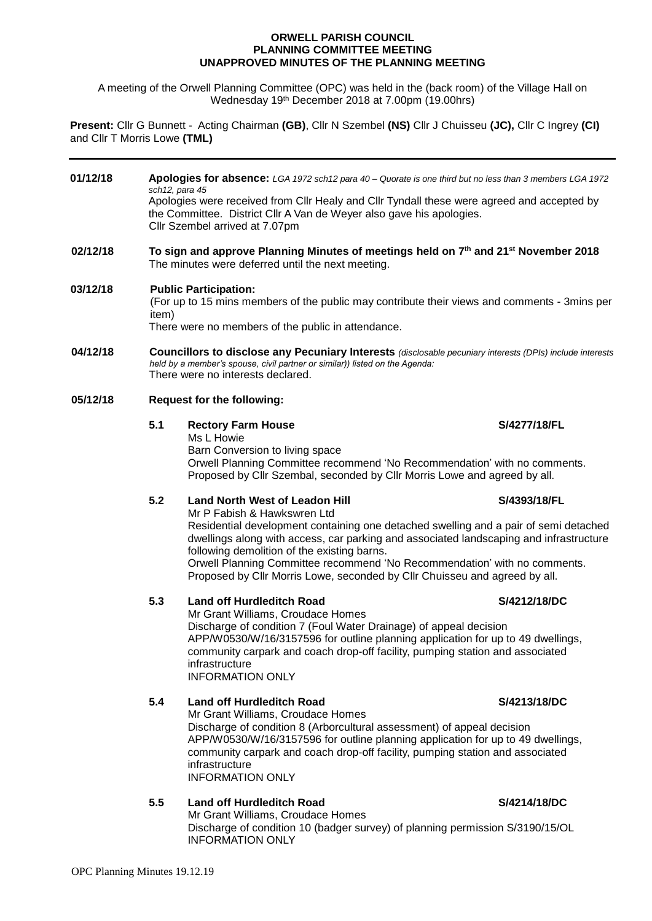### **ORWELL PARISH COUNCIL PLANNING COMMITTEE MEETING UNAPPROVED MINUTES OF THE PLANNING MEETING**

A meeting of the Orwell Planning Committee (OPC) was held in the (back room) of the Village Hall on Wednesday 19th December 2018 at 7.00pm (19.00hrs)

**Present:** Cllr G Bunnett - Acting Chairman **(GB)**, Cllr N Szembel **(NS)** Cllr J Chuisseu **(JC),** Cllr C Ingrey **(CI)** and Cllr T Morris Lowe **(TML)**

| 01/12/18 | Apologies for absence: LGA 1972 sch12 para 40 - Quorate is one third but no less than 3 members LGA 1972<br>sch12, para 45<br>Apologies were received from Cllr Healy and Cllr Tyndall these were agreed and accepted by<br>the Committee. District Cllr A Van de Weyer also gave his apologies.<br>Cllr Szembel arrived at 7.07pm |                                                                                                                                                                                                                                                                                                                                                                                                                                                                  |              |  |
|----------|------------------------------------------------------------------------------------------------------------------------------------------------------------------------------------------------------------------------------------------------------------------------------------------------------------------------------------|------------------------------------------------------------------------------------------------------------------------------------------------------------------------------------------------------------------------------------------------------------------------------------------------------------------------------------------------------------------------------------------------------------------------------------------------------------------|--------------|--|
| 02/12/18 | To sign and approve Planning Minutes of meetings held on 7th and 21 <sup>st</sup> November 2018<br>The minutes were deferred until the next meeting.                                                                                                                                                                               |                                                                                                                                                                                                                                                                                                                                                                                                                                                                  |              |  |
| 03/12/18 | <b>Public Participation:</b><br>(For up to 15 mins members of the public may contribute their views and comments - 3mins per<br>item)<br>There were no members of the public in attendance.                                                                                                                                        |                                                                                                                                                                                                                                                                                                                                                                                                                                                                  |              |  |
| 04/12/18 |                                                                                                                                                                                                                                                                                                                                    | Councillors to disclose any Pecuniary Interests (disclosable pecuniary interests (DPIs) include interests<br>held by a member's spouse, civil partner or similar)) listed on the Agenda:<br>There were no interests declared.                                                                                                                                                                                                                                    |              |  |
| 05/12/18 | <b>Request for the following:</b>                                                                                                                                                                                                                                                                                                  |                                                                                                                                                                                                                                                                                                                                                                                                                                                                  |              |  |
|          | 5.1                                                                                                                                                                                                                                                                                                                                | <b>Rectory Farm House</b><br>Ms L Howie<br>Barn Conversion to living space<br>Orwell Planning Committee recommend 'No Recommendation' with no comments.<br>Proposed by Cllr Szembal, seconded by Cllr Morris Lowe and agreed by all.                                                                                                                                                                                                                             | S/4277/18/FL |  |
|          | 5.2                                                                                                                                                                                                                                                                                                                                | <b>Land North West of Leadon Hill</b><br>Mr P Fabish & Hawkswren Ltd<br>Residential development containing one detached swelling and a pair of semi detached<br>dwellings along with access, car parking and associated landscaping and infrastructure<br>following demolition of the existing barns.<br>Orwell Planning Committee recommend 'No Recommendation' with no comments.<br>Proposed by Cllr Morris Lowe, seconded by Cllr Chuisseu and agreed by all. | S/4393/18/FL |  |
|          | 5.3                                                                                                                                                                                                                                                                                                                                | <b>Land off Hurdleditch Road</b><br>Mr Grant Williams, Croudace Homes<br>Discharge of condition 7 (Foul Water Drainage) of appeal decision<br>APP/W0530/W/16/3157596 for outline planning application for up to 49 dwellings,<br>community carpark and coach drop-off facility, pumping station and associated<br>infrastructure<br><b>INFORMATION ONLY</b>                                                                                                      | S/4212/18/DC |  |
|          | 5.4                                                                                                                                                                                                                                                                                                                                | <b>Land off Hurdleditch Road</b><br>Mr Grant Williams, Croudace Homes<br>Discharge of condition 8 (Arborcultural assessment) of appeal decision<br>APP/W0530/W/16/3157596 for outline planning application for up to 49 dwellings,<br>community carpark and coach drop-off facility, pumping station and associated<br>infrastructure<br><b>INFORMATION ONLY</b>                                                                                                 | S/4213/18/DC |  |
|          | 5.5                                                                                                                                                                                                                                                                                                                                | <b>Land off Hurdleditch Road</b><br>Mr Grant Williams, Croudace Homes<br>Discharge of condition 10 (badger survey) of planning permission S/3190/15/OL                                                                                                                                                                                                                                                                                                           | S/4214/18/DC |  |

INFORMATION ONLY